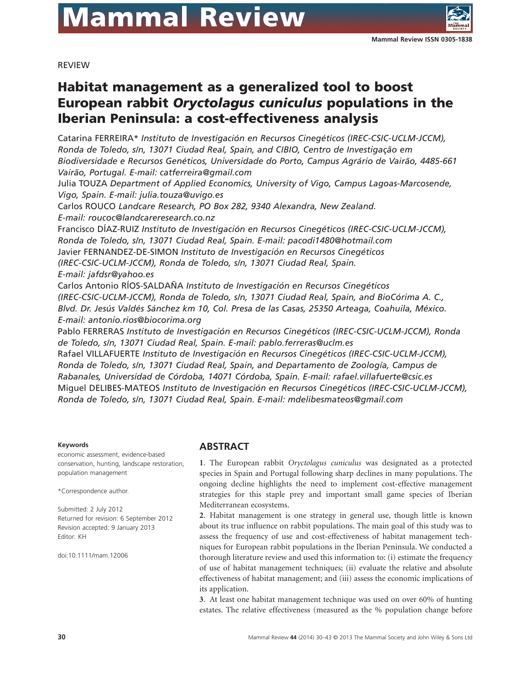# **Mammal Review**

REVIEW

# **Habitat management as a generalized tool to boost European rabbit** *Oryctolagus cuniculus* **populations in the Iberian Peninsula: a cost-effectiveness analysis**

Catarina FERREIRA\* *Instituto de Investigación en Recursos Cinegéticos (IREC-CSIC-UCLM-JCCM), Ronda de Toledo, s/n, 13071 Ciudad Real, Spain, and CIBIO, Centro de Investigação em Biodiversidade e Recursos Genéticos, Universidade do Porto, Campus Agrário de Vairão, 4485-661 Vairão, Portugal. E-mail: [catferreira@gmail.com](mailto:catferreira@gmail.com)* Julia TOUZA *Department of Applied Economics, University of Vigo, Campus Lagoas-Marcosende,*

*Vigo, Spain. E-mail: [julia.touza@uvigo.es](mailto:julia.touza@uvigo.es)*

Carlos ROUCO *Landcare Research, PO Box 282, 9340 Alexandra, New Zealand.*

*E-mail: [roucoc@landcareresearch.co.nz](mailto:roucoc@landcareresearch.co.nz)*

Francisco DÍAZ-RUIZ *Instituto de Investigación en Recursos Cinegéticos (IREC-CSIC-UCLM-JCCM), Ronda de Toledo, s/n, 13071 Ciudad Real, Spain. E-mail: [pacodi1480@hotmail.com](mailto:pacodi1480@hotmail.com)* Javier FERNANDEZ-DE-SIMON *Instituto de Investigación en Recursos Cinegéticos (IREC-CSIC-UCLM-JCCM), Ronda de Toledo, s/n, 13071 Ciudad Real, Spain. E-mail: [jafdsr@yahoo.es](mailto:jafdsr@yahoo.es)*

Carlos Antonio RÍOS-SALDAÑA *Instituto de Investigación en Recursos Cinegéticos (IREC-CSIC-UCLM-JCCM), Ronda de Toledo, s/n, 13071 Ciudad Real, Spain, and BioCórima A. C., Blvd. Dr. Jesús Valdés Sánchez km 10, Col. Presa de las Casas, 25350 Arteaga, Coahuila, México. E-mail: [antonio.rios@biocorima.org](mailto:antonio.rios@biocorima.org)*

Pablo FERRERAS *Instituto de Investigación en Recursos Cinegéticos (IREC-CSIC-UCLM-JCCM), Ronda de Toledo, s/n, 13071 Ciudad Real, Spain. E-mail: [pablo.ferreras@uclm.es](mailto:pablo.ferreras@uclm.es)*

Rafael VILLAFUERTE *Instituto de Investigación en Recursos Cinegéticos (IREC-CSIC-UCLM-JCCM), Ronda de Toledo, s/n, 13071 Ciudad Real, Spain, and Departamento de Zoología, Campus de Rabanales, Universidad de Córdoba, 14071 Córdoba, Spain. E-mail: [rafael.villafuerte@csic.es](mailto:rafael.villafuerte@csic.es)* Miguel DELIBES-MATEOS *Instituto de Investigación en Recursos Cinegéticos (IREC-CSIC-UCLM-JCCM), Ronda de Toledo, s/n, 13071 Ciudad Real, Spain. E-mail: [mdelibesmateos@gmail.com](mailto:mdelibesmateos@gmail.com)*

#### **Keywords**

economic assessment, evidence-based conservation, hunting, landscape restoration, population management

\*Correspondence author.

Submitted: 2 July 2012 Returned for revision: 6 September 2012 Revision accepted: 9 January 2013 Editor: KH

doi:10.1111/mam.12006

#### **ABSTRACT**

**1**. The European rabbit *Oryctolagus cuniculus* was designated as a protected species in Spain and Portugal following sharp declines in many populations. The ongoing decline highlights the need to implement cost-effective management strategies for this staple prey and important small game species of Iberian Mediterranean ecosystems.

**2**. Habitat management is one strategy in general use, though little is known about its true influence on rabbit populations. The main goal of this study was to assess the frequency of use and cost-effectiveness of habitat management techniques for European rabbit populations in the Iberian Peninsula. We conducted a thorough literature review and used this information to: (i) estimate the frequency of use of habitat management techniques; (ii) evaluate the relative and absolute effectiveness of habitat management; and (iii) assess the economic implications of its application.

**3**. At least one habitat management technique was used on over 60% of hunting estates. The relative effectiveness (measured as the % population change before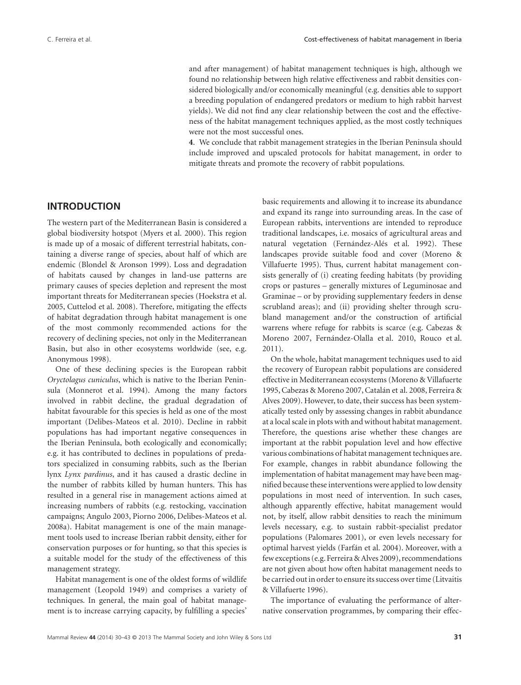and after management) of habitat management techniques is high, although we found no relationship between high relative effectiveness and rabbit densities considered biologically and/or economically meaningful (e.g. densities able to support a breeding population of endangered predators or medium to high rabbit harvest yields). We did not find any clear relationship between the cost and the effectiveness of the habitat management techniques applied, as the most costly techniques were not the most successful ones.

**4**. We conclude that rabbit management strategies in the Iberian Peninsula should include improved and upscaled protocols for habitat management, in order to mitigate threats and promote the recovery of rabbit populations.

#### **INTRODUCTION**

The western part of the Mediterranean Basin is considered a global biodiversity hotspot (Myers et al. 2000). This region is made up of a mosaic of different terrestrial habitats, containing a diverse range of species, about half of which are endemic (Blondel & Aronson 1999). Loss and degradation of habitats caused by changes in land-use patterns are primary causes of species depletion and represent the most important threats for Mediterranean species (Hoekstra et al. 2005, Cuttelod et al. 2008). Therefore, mitigating the effects of habitat degradation through habitat management is one of the most commonly recommended actions for the recovery of declining species, not only in the Mediterranean Basin, but also in other ecosystems worldwide (see, e.g. Anonymous 1998).

One of these declining species is the European rabbit *Oryctolagus cuniculus*, which is native to the Iberian Peninsula (Monnerot et al. 1994). Among the many factors involved in rabbit decline, the gradual degradation of habitat favourable for this species is held as one of the most important (Delibes-Mateos et al. 2010). Decline in rabbit populations has had important negative consequences in the Iberian Peninsula, both ecologically and economically; e.g. it has contributed to declines in populations of predators specialized in consuming rabbits, such as the Iberian lynx *Lynx pardinus*, and it has caused a drastic decline in the number of rabbits killed by human hunters. This has resulted in a general rise in management actions aimed at increasing numbers of rabbits (e.g. restocking, vaccination campaigns; Angulo 2003, Piorno 2006, Delibes-Mateos et al. 2008a). Habitat management is one of the main management tools used to increase Iberian rabbit density, either for conservation purposes or for hunting, so that this species is a suitable model for the study of the effectiveness of this management strategy.

Habitat management is one of the oldest forms of wildlife management (Leopold 1949) and comprises a variety of techniques. In general, the main goal of habitat management is to increase carrying capacity, by fulfilling a species'

basic requirements and allowing it to increase its abundance and expand its range into surrounding areas. In the case of European rabbits, interventions are intended to reproduce traditional landscapes, i.e. mosaics of agricultural areas and natural vegetation (Fernández-Alés et al. 1992). These landscapes provide suitable food and cover (Moreno & Villafuerte 1995). Thus, current habitat management consists generally of (i) creating feeding habitats (by providing crops or pastures – generally mixtures of Leguminosae and Graminae – or by providing supplementary feeders in dense scrubland areas); and (ii) providing shelter through scrubland management and/or the construction of artificial warrens where refuge for rabbits is scarce (e.g. Cabezas & Moreno 2007, Fernández-Olalla et al. 2010, Rouco et al. 2011).

On the whole, habitat management techniques used to aid the recovery of European rabbit populations are considered effective in Mediterranean ecosystems (Moreno & Villafuerte 1995, Cabezas & Moreno 2007, Catalán et al. 2008, Ferreira & Alves 2009). However, to date, their success has been systematically tested only by assessing changes in rabbit abundance at a local scale in plots with and without habitat management. Therefore, the questions arise whether these changes are important at the rabbit population level and how effective various combinations of habitat management techniques are. For example, changes in rabbit abundance following the implementation of habitat management may have been magnified because these interventions were applied to low density populations in most need of intervention. In such cases, although apparently effective, habitat management would not, by itself, allow rabbit densities to reach the minimum levels necessary, e.g. to sustain rabbit-specialist predator populations (Palomares 2001), or even levels necessary for optimal harvest yields (Farfán et al. 2004). Moreover, with a few exceptions (e.g. Ferreira & Alves 2009), recommendations are not given about how often habitat management needs to be carried out in order to ensure its success over time (Litvaitis & Villafuerte 1996).

The importance of evaluating the performance of alternative conservation programmes, by comparing their effec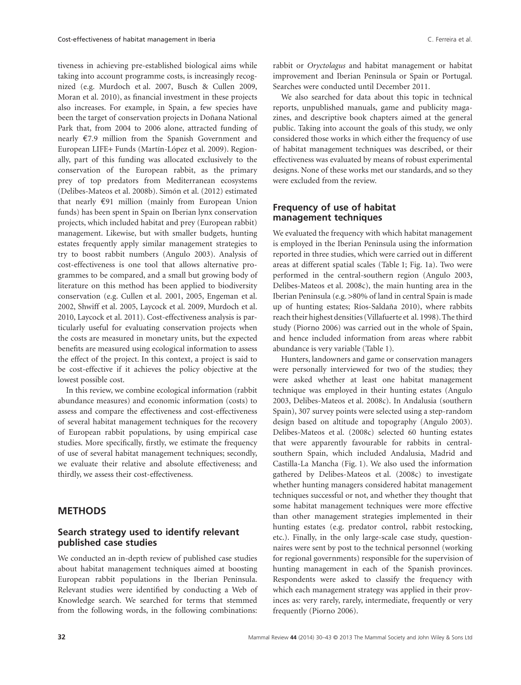tiveness in achieving pre-established biological aims while taking into account programme costs, is increasingly recognized (e.g. Murdoch et al. 2007, Busch & Cullen 2009, Moran et al. 2010), as financial investment in these projects also increases. For example, in Spain, a few species have been the target of conservation projects in Doñana National Park that, from 2004 to 2006 alone, attracted funding of nearly €7.9 million from the Spanish Government and European LIFE+ Funds (Martín-López et al. 2009). Regionally, part of this funding was allocated exclusively to the conservation of the European rabbit, as the primary prey of top predators from Mediterranean ecosystems (Delibes-Mateos et al. 2008b). Simón et al. (2012) estimated that nearly €91 million (mainly from European Union funds) has been spent in Spain on Iberian lynx conservation projects, which included habitat and prey (European rabbit) management. Likewise, but with smaller budgets, hunting estates frequently apply similar management strategies to try to boost rabbit numbers (Angulo 2003). Analysis of cost-effectiveness is one tool that allows alternative programmes to be compared, and a small but growing body of literature on this method has been applied to biodiversity conservation (e.g. Cullen et al. 2001, 2005, Engeman et al. 2002, Shwiff et al. 2005, Laycock et al. 2009, Murdoch et al. 2010, Laycock et al. 2011). Cost-effectiveness analysis is particularly useful for evaluating conservation projects when the costs are measured in monetary units, but the expected benefits are measured using ecological information to assess the effect of the project. In this context, a project is said to be cost-effective if it achieves the policy objective at the lowest possible cost.

In this review, we combine ecological information (rabbit abundance measures) and economic information (costs) to assess and compare the effectiveness and cost-effectiveness of several habitat management techniques for the recovery of European rabbit populations, by using empirical case studies. More specifically, firstly, we estimate the frequency of use of several habitat management techniques; secondly, we evaluate their relative and absolute effectiveness; and thirdly, we assess their cost-effectiveness.

#### **METHODS**

#### **Search strategy used to identify relevant published case studies**

We conducted an in-depth review of published case studies about habitat management techniques aimed at boosting European rabbit populations in the Iberian Peninsula. Relevant studies were identified by conducting a Web of Knowledge search. We searched for terms that stemmed from the following words, in the following combinations:

rabbit or *Oryctolagus* and habitat management or habitat improvement and Iberian Peninsula or Spain or Portugal. Searches were conducted until December 2011.

We also searched for data about this topic in technical reports, unpublished manuals, game and publicity magazines, and descriptive book chapters aimed at the general public. Taking into account the goals of this study, we only considered those works in which either the frequency of use of habitat management techniques was described, or their effectiveness was evaluated by means of robust experimental designs. None of these works met our standards, and so they were excluded from the review.

#### **Frequency of use of habitat management techniques**

We evaluated the frequency with which habitat management is employed in the Iberian Peninsula using the information reported in three studies, which were carried out in different areas at different spatial scales (Table 1; Fig. 1a). Two were performed in the central-southern region (Angulo 2003, Delibes-Mateos et al. 2008c), the main hunting area in the Iberian Peninsula (e.g. >80% of land in central Spain is made up of hunting estates; Ríos-Saldaña 2010), where rabbits reach their highest densities (Villafuerte et al. 1998).The third study (Piorno 2006) was carried out in the whole of Spain, and hence included information from areas where rabbit abundance is very variable (Table 1).

Hunters, landowners and game or conservation managers were personally interviewed for two of the studies; they were asked whether at least one habitat management technique was employed in their hunting estates (Angulo 2003, Delibes-Mateos et al. 2008c). In Andalusia (southern Spain), 307 survey points were selected using a step-random design based on altitude and topography (Angulo 2003). Delibes-Mateos et al. (2008c) selected 60 hunting estates that were apparently favourable for rabbits in centralsouthern Spain, which included Andalusia, Madrid and Castilla-La Mancha (Fig. 1). We also used the information gathered by Delibes-Mateos et al. (2008c) to investigate whether hunting managers considered habitat management techniques successful or not, and whether they thought that some habitat management techniques were more effective than other management strategies implemented in their hunting estates (e.g. predator control, rabbit restocking, etc.). Finally, in the only large-scale case study, questionnaires were sent by post to the technical personnel (working for regional governments) responsible for the supervision of hunting management in each of the Spanish provinces. Respondents were asked to classify the frequency with which each management strategy was applied in their provinces as: very rarely, rarely, intermediate, frequently or very frequently (Piorno 2006).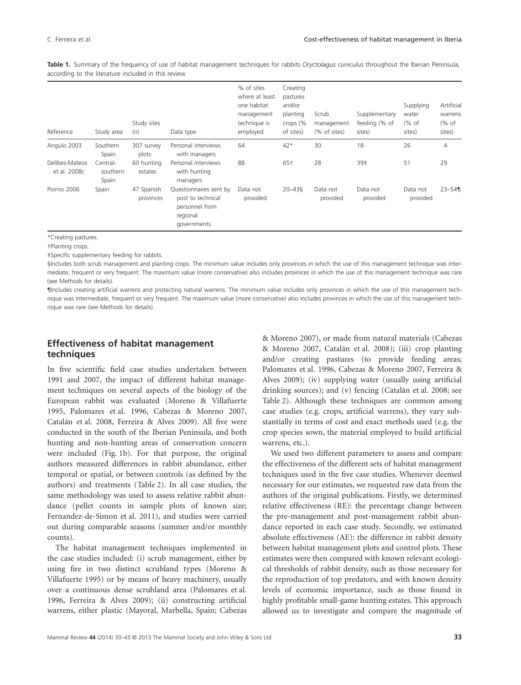**Table 1.** Summary of the frequency of use of habitat management techniques for rabbits *Oryctolagus cuniculus* throughout the Iberian Peninsula, according to the literature included in this review

| Reference                      | Study area                    | Study sites<br>(n)      | Data type                                                                                | % of sites<br>where at least<br>one habitat<br>management<br>technique is<br>employed | Creating<br>pastures<br>and/or<br>planting<br>crops $(%$<br>of sites) | Scrub<br>management<br>(% of sites) | Supplementary<br>feeding (% of<br>sites) | Supplying<br>water<br>% of<br>sites) | Artificial<br>warrens<br>% of<br>sites) |
|--------------------------------|-------------------------------|-------------------------|------------------------------------------------------------------------------------------|---------------------------------------------------------------------------------------|-----------------------------------------------------------------------|-------------------------------------|------------------------------------------|--------------------------------------|-----------------------------------------|
| Angulo 2003                    | Southern<br>Spain             | 307 survey<br>plots     | Personal interviews<br>with managers                                                     | 64                                                                                    | $42*$                                                                 | 30                                  | 18                                       | 26                                   | $\overline{4}$                          |
| Delibes-Mateos<br>et al. 2008c | Central-<br>southern<br>Spain | 60 hunting<br>estates   | Personal interviews<br>with hunting<br>managers                                          | 88                                                                                    | 65†                                                                   | 28                                  | 39‡                                      | 51                                   | 29                                      |
| Piorno 2006                    | Spain                         | 47 Spanish<br>provinces | Questionnaires sent by<br>post to technical<br>personnel from<br>regional<br>governments | Data not<br>provided                                                                  | $20 - 43$                                                             | Data not<br>provided                | Data not<br>provided                     | Data not<br>provided                 | $23 - 54$                               |

\*Creating pastures.

†Planting crops.

‡Specific supplementary feeding for rabbits.

§Includes both scrub management and planting crops. The minimum value includes only provinces in which the use of this management technique was intermediate, frequent or very frequent. The maximum value (more conservative) also includes provinces in which the use of this management technique was rare (see Methods for details).

¶Includes creating artificial warrens and protecting natural warrens. The minimum value includes only provinces in which the use of this management technique was intermediate, frequent or very frequent. The maximum value (more conservative) also includes provinces in which the use of this management technique was rare (see Methods for details).

#### **Effectiveness of habitat management techniques**

In five scientific field case studies undertaken between 1991 and 2007, the impact of different habitat management techniques on several aspects of the biology of the European rabbit was evaluated (Moreno & Villafuerte 1995, Palomares et al. 1996, Cabezas & Moreno 2007, Catalán et al. 2008, Ferreira & Alves 2009). All five were conducted in the south of the Iberian Peninsula, and both hunting and non-hunting areas of conservation concern were included (Fig. 1b). For that purpose, the original authors measured differences in rabbit abundance, either temporal or spatial, or between controls (as defined by the authors) and treatments (Table 2). In all case studies, the same methodology was used to assess relative rabbit abundance (pellet counts in sample plots of known size; Fernandez-de-Simon et al. 2011), and studies were carried out during comparable seasons (summer and/or monthly counts).

The habitat management techniques implemented in the case studies included: (i) scrub management, either by using fire in two distinct scrubland types (Moreno & Villafuerte 1995) or by means of heavy machinery, usually over a continuous dense scrubland area (Palomares et al. 1996, Ferreira & Alves 2009); (ii) constructing artificial warrens, either plastic (Mayoral, Marbella, Spain; Cabezas

& Moreno 2007), or made from natural materials (Cabezas & Moreno 2007, Catalán et al. 2008); (iii) crop planting and/or creating pastures (to provide feeding areas; Palomares et al. 1996, Cabezas & Moreno 2007, Ferreira & Alves 2009); (iv) supplying water (usually using artificial drinking sources); and (v) fencing (Catalán et al. 2008; see Table 2). Although these techniques are common among case studies (e.g. crops, artificial warrens), they vary substantially in terms of cost and exact methods used (e.g. the crop species sown, the material employed to build artificial warrens, etc.).

We used two different parameters to assess and compare the effectiveness of the different sets of habitat management techniques used in the five case studies. Whenever deemed necessary for our estimates, we requested raw data from the authors of the original publications. Firstly, we determined relative effectiveness (RE): the percentage change between the pre-management and post-management rabbit abundance reported in each case study. Secondly, we estimated absolute effectiveness (AE): the difference in rabbit density between habitat management plots and control plots. These estimates were then compared with known relevant ecological thresholds of rabbit density, such as those necessary for the reproduction of top predators, and with known density levels of economic importance, such as those found in highly profitable small-game hunting estates. This approach allowed us to investigate and compare the magnitude of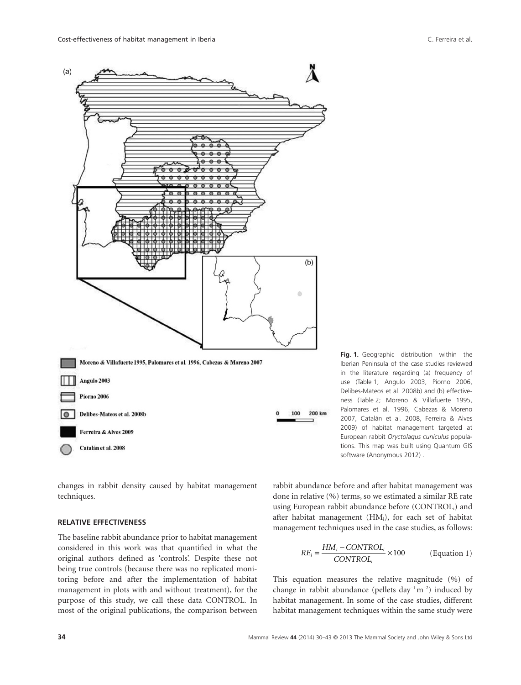

**Fig. 1.** Geographic distribution within the Iberian Peninsula of the case studies reviewed in the literature regarding (a) frequency of use (Table 1; Angulo 2003, Piorno 2006, Delibes-Mateos et al. 2008b) and (b) effectiveness (Table 2; Moreno & Villafuerte 1995, Palomares et al. 1996, Cabezas & Moreno 2007, Catalán et al. 2008, Ferreira & Alves 2009) of habitat management targeted at European rabbit *Oryctolagus cuniculus* populations. This map was built using Quantum GIS software (Anonymous 2012) .

changes in rabbit density caused by habitat management techniques.

#### **RELATIVE EFFECTIVENESS**

The baseline rabbit abundance prior to habitat management considered in this work was that quantified in what the original authors defined as 'controls'. Despite these not being true controls (because there was no replicated monitoring before and after the implementation of habitat management in plots with and without treatment), for the purpose of this study, we call these data CONTROL. In most of the original publications, the comparison between

rabbit abundance before and after habitat management was done in relative (%) terms, so we estimated a similar RE rate using European rabbit abundance before (CONTROLi) and after habitat management (HMi), for each set of habitat management techniques used in the case studies, as follows:

$$
RE_i = \frac{HM_i - CONTROL_i}{CONTROL_i} \times 100
$$
 (Equation 1)

This equation measures the relative magnitude (%) of change in rabbit abundance (pellets day<sup>-1</sup> m<sup>-2</sup>) induced by habitat management. In some of the case studies, different habitat management techniques within the same study were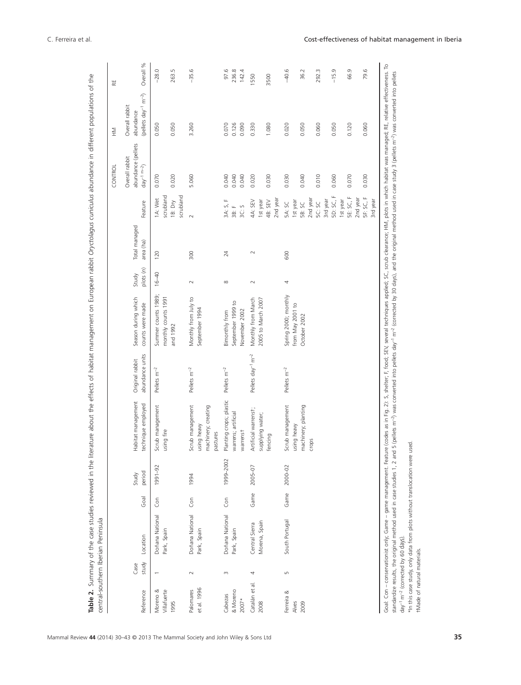|                                    |               |                                 |          |                 |                                                                    |                                           |                                                          |                    |                            |                                                   | CONTROL                                                 | $\geqq$                                                               | 분                      |
|------------------------------------|---------------|---------------------------------|----------|-----------------|--------------------------------------------------------------------|-------------------------------------------|----------------------------------------------------------|--------------------|----------------------------|---------------------------------------------------|---------------------------------------------------------|-----------------------------------------------------------------------|------------------------|
| Reference                          | study<br>Case | Location                        | Goal     | period<br>Study | Habitat management<br>technique employed                           | abundance units<br>Original rabbit        | Season during which<br>counts were made                  | plots (n)<br>Study | Total managed<br>area (ha) | Feature                                           | abundance (pellets<br>Overall rabbit<br>$day^{-1}$ m-2) | $m^{-2}$<br>Overall rabbit<br>(pellets day <sup>-1</sup><br>abundance | ℅<br>Overall           |
| ∞<br>Villafuerte<br>Moreno<br>1995 |               | Doñana National<br>Park, Spain  | Con      | 1991-92         | Scrub management<br>using fire                                     | Pellets m <sup>-2</sup>                   | Summer counts 1989;<br>monthly counts 1991<br>and 1992   | $16 - 40$          | 120                        | scrubland<br>scrubland<br>1A: Wet<br>1B: Dry      | 0.070<br>0.020                                          | 0.050<br>0.050                                                        | $-28.0$<br>263.5       |
| et al. 1996<br>Palomares           | $\sim$        | Doñana National<br>Park, Spain  | <b>S</b> | 1994            | Scrub management<br>machinery; creating<br>using heavy<br>pastures | Pellets m <sup>-2</sup>                   | Monthly from July to<br>September 1994                   | $\sim$             | 300                        | $\sim$                                            | 5.060                                                   | 3.260                                                                 | $-35.6$                |
| & Moreno<br>Cabezas<br>$2007*$     | $\infty$      | Doñana National<br>Park, Spain  | Gon      | 1999-2002       | Planting crops; plastic<br>warrens; artificial<br>warrenst         | Pellets m <sup>-2</sup>                   | °,<br>September 1999<br>November 2002<br>Bimonthly from  |                    | 24                         | щ<br>S,<br>3C: S<br>Щ<br>ЗA:<br>$\overline{38}$ : | 0.040<br>0.040<br>0.040                                 | 0.126<br>0.070<br>0.090                                               | 97.6<br>236.8<br>142.4 |
| Catalán et al.<br>2008             | 4             | Morena, Spain<br>Central Sierra | Game     | 2005-07         | Artificial warrenst;<br>supplying water;<br>fencing                | Pellets day <sup>-1</sup> m <sup>-2</sup> | Monthly from March<br>2005 to March 2007                 | $\sim$             | $\sim$                     | 2nd year<br>4A: SEV<br>4B: SEV<br>1st year        | 0.020<br>0.030                                          | 0.330<br>1.080                                                        | 1550<br>3500           |
| Ferreira &<br>2009<br>Alves        | Б             | South Portugal                  | Game     | 2000-02         | Scrub management<br>machinery; planting<br>using heavy             | Pellets m <sup>-2</sup>                   | Spring 2000; monthly<br>from May 2001 to<br>October 2002 | 4                  | 600                        | 1st year<br>5A: SC<br>5B: SC                      | 0.030<br>0.040                                          | 0.020<br>0.050                                                        | $-40.6$<br>36.2        |
|                                    |               |                                 |          |                 | crops                                                              |                                           |                                                          |                    |                            | 2nd year<br>3rd year<br>5C: SC                    | 0.010                                                   | 0.060                                                                 | m<br>292.              |
|                                    |               |                                 |          |                 |                                                                    |                                           |                                                          |                    |                            | 5D: SC, F<br>SE: SC, F<br>1st year                | 0.070<br>0.060                                          | 0.050<br>0.120                                                        | $-15.9$<br>66.9        |
|                                    |               |                                 |          |                 |                                                                    |                                           |                                                          |                    |                            | SF: SC, F<br>2nd year<br>3rd year                 | 0.030                                                   | 0.060                                                                 | 79.6                   |

†Made of natural materials.

t Made of natural materials.

Mammal Review **44** (2014) 30–43 © 2013 The Mammal Society and John Wiley & Sons Ltd **35**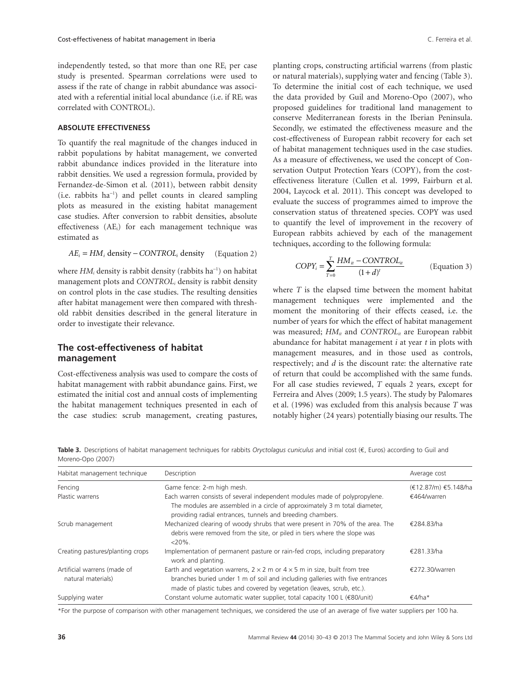independently tested, so that more than one REi per case study is presented. Spearman correlations were used to assess if the rate of change in rabbit abundance was associated with a referential initial local abundance (i.e. if REi was correlated with CONTROLi).

#### **ABSOLUTE EFFECTIVENESS**

To quantify the real magnitude of the changes induced in rabbit populations by habitat management, we converted rabbit abundance indices provided in the literature into rabbit densities. We used a regression formula, provided by Fernandez-de-Simon et al. (2011), between rabbit density (i.e. rabbits ha-<sup>1</sup> ) and pellet counts in cleared sampling plots as measured in the existing habitat management case studies. After conversion to rabbit densities, absolute effectiveness (AEi) for each management technique was estimated as

$$
AE_i = HM_i
$$
 density – *CONTROL<sub>i</sub>* density (Equation 2)

where *HM<sub>i</sub>* density is rabbit density (rabbits ha<sup>-1</sup>) on habitat management plots and *CONTROLi* density is rabbit density on control plots in the case studies. The resulting densities after habitat management were then compared with threshold rabbit densities described in the general literature in order to investigate their relevance.

#### **The cost-effectiveness of habitat management**

Cost-effectiveness analysis was used to compare the costs of habitat management with rabbit abundance gains. First, we estimated the initial cost and annual costs of implementing the habitat management techniques presented in each of the case studies: scrub management, creating pastures,

planting crops, constructing artificial warrens (from plastic or natural materials), supplying water and fencing (Table 3). To determine the initial cost of each technique, we used the data provided by Guil and Moreno-Opo (2007), who proposed guidelines for traditional land management to conserve Mediterranean forests in the Iberian Peninsula. Secondly, we estimated the effectiveness measure and the cost-effectiveness of European rabbit recovery for each set of habitat management techniques used in the case studies. As a measure of effectiveness, we used the concept of Conservation Output Protection Years (COPY), from the costeffectiveness literature (Cullen et al. 1999, Fairburn et al. 2004, Laycock et al. 2011). This concept was developed to evaluate the success of programmes aimed to improve the conservation status of threatened species. COPY was used to quantify the level of improvement in the recovery of European rabbits achieved by each of the management techniques, according to the following formula:

$$
COPY_i = \sum_{T=0}^{T} \frac{HM_{it} - CONTROL_{it}}{(1+d)^t}
$$
 (Equation 3)

where *T* is the elapsed time between the moment habitat management techniques were implemented and the moment the monitoring of their effects ceased, i.e. the number of years for which the effect of habitat management was measured; *HMit* and *CONTROLit* are European rabbit abundance for habitat management *i* at year *t* in plots with management measures, and in those used as controls, respectively; and *d* is the discount rate: the alternative rate of return that could be accomplished with the same funds. For all case studies reviewed, *T* equals 2 years, except for Ferreira and Alves (2009; 1.5 years). The study by Palomares et al. (1996) was excluded from this analysis because *T* was notably higher (24 years) potentially biasing our results. The

**Table 3.** Descriptions of habitat management techniques for rabbits *Oryctolagus cuniculus* and initial cost (€, Euros) according to Guil and Moreno-Opo (2007)

| Habitat management technique                      | Description                                                                                                                                                                                                                                        | Average cost         |
|---------------------------------------------------|----------------------------------------------------------------------------------------------------------------------------------------------------------------------------------------------------------------------------------------------------|----------------------|
| Fencing                                           | Game fence: 2-m high mesh.                                                                                                                                                                                                                         | (€12.87/m) €5.148/ha |
| Plastic warrens                                   | Each warren consists of several independent modules made of polypropylene.<br>The modules are assembled in a circle of approximately 3 m total diameter,<br>providing radial entrances, tunnels and breeding chambers.                             | €464/warren          |
| Scrub management                                  | Mechanized clearing of woody shrubs that were present in 70% of the area. The<br>debris were removed from the site, or piled in tiers where the slope was<br>$<$ 20%.                                                                              | €284.83/ha           |
| Creating pastures/planting crops                  | Implementation of permanent pasture or rain-fed crops, including preparatory<br>work and planting.                                                                                                                                                 | €281.33/ha           |
| Artificial warrens (made of<br>natural materials) | Earth and vegetation warrens, $2 \times 2$ m or $4 \times 5$ m in size, built from tree<br>branches buried under 1 m of soil and including galleries with five entrances<br>made of plastic tubes and covered by vegetation (leaves, scrub, etc.). | €272.30/warren       |
| Supplying water                                   | Constant volume automatic water supplier, total capacity 100 L (€80/unit)                                                                                                                                                                          | €4/ha*               |

\*For the purpose of comparison with other management techniques, we considered the use of an average of five water suppliers per 100 ha.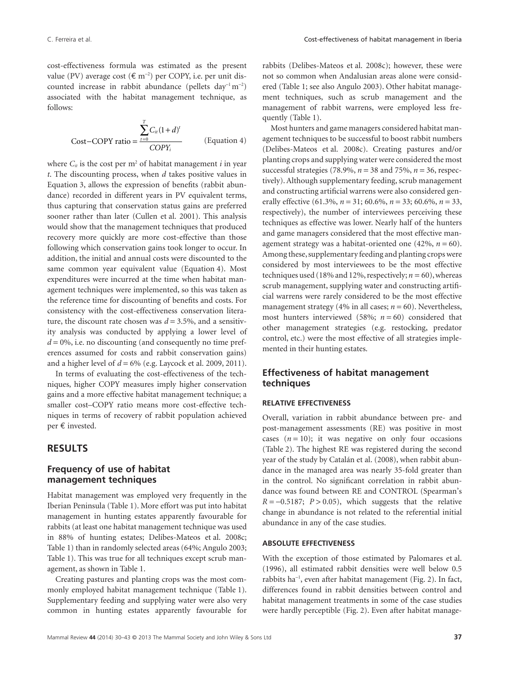cost-effectiveness formula was estimated as the present value (PV) average cost  $(\text{€ m}^{-2})$  per COPY, i.e. per unit discounted increase in rabbit abundance (pellets  $day^{-1}m^{-2}$ ) associated with the habitat management technique, as follows:

$$
\sum_{i=0}^{T} C_{ii} (1+d)^{t}
$$
  
Cost–COPY ratio =  $\frac{I=0}{COPY_i}$  (Equation 4)

where  $C_{it}$  is the cost per m<sup>2</sup> of habitat management *i* in year *t*. The discounting process, when *d* takes positive values in Equation 3, allows the expression of benefits (rabbit abundance) recorded in different years in PV equivalent terms, thus capturing that conservation status gains are preferred sooner rather than later (Cullen et al. 2001). This analysis would show that the management techniques that produced recovery more quickly are more cost-effective than those following which conservation gains took longer to occur. In addition, the initial and annual costs were discounted to the same common year equivalent value (Equation 4). Most expenditures were incurred at the time when habitat management techniques were implemented, so this was taken as the reference time for discounting of benefits and costs. For consistency with the cost-effectiveness conservation literature, the discount rate chosen was  $d = 3.5\%$ , and a sensitivity analysis was conducted by applying a lower level of  $d = 0\%$ , i.e. no discounting (and consequently no time preferences assumed for costs and rabbit conservation gains) and a higher level of  $d = 6\%$  (e.g. Laycock et al. 2009, 2011).

In terms of evaluating the cost-effectiveness of the techniques, higher COPY measures imply higher conservation gains and a more effective habitat management technique; a smaller cost–COPY ratio means more cost-effective techniques in terms of recovery of rabbit population achieved per € invested.

#### **RESULTS**

#### **Frequency of use of habitat management techniques**

Habitat management was employed very frequently in the Iberian Peninsula (Table 1). More effort was put into habitat management in hunting estates apparently favourable for rabbits (at least one habitat management technique was used in 88% of hunting estates; Delibes-Mateos et al. 2008c; Table 1) than in randomly selected areas (64%; Angulo 2003; Table 1). This was true for all techniques except scrub management, as shown in Table 1.

Creating pastures and planting crops was the most commonly employed habitat management technique (Table 1). Supplementary feeding and supplying water were also very common in hunting estates apparently favourable for rabbits (Delibes-Mateos et al. 2008c); however, these were not so common when Andalusian areas alone were considered (Table 1; see also Angulo 2003). Other habitat management techniques, such as scrub management and the management of rabbit warrens, were employed less frequently (Table 1).

Most hunters and game managers considered habitat management techniques to be successful to boost rabbit numbers (Delibes-Mateos et al. 2008c). Creating pastures and/or planting crops and supplying water were considered the most successful strategies (78.9%, *n* = 38 and 75%, *n* = 36, respectively). Although supplementary feeding, scrub management and constructing artificial warrens were also considered generally effective (61.3%, *n* = 31; 60.6%, *n* = 33; 60.6%, *n* = 33, respectively), the number of interviewees perceiving these techniques as effective was lower. Nearly half of the hunters and game managers considered that the most effective management strategy was a habitat-oriented one  $(42\%, n=60)$ . Among these, supplementary feeding and planting crops were considered by most interviewees to be the most effective techniques used (18% and 12%, respectively;  $n = 60$ ), whereas scrub management, supplying water and constructing artificial warrens were rarely considered to be the most effective management strategy (4% in all cases;  $n = 60$ ). Nevertheless, most hunters interviewed (58%;  $n = 60$ ) considered that other management strategies (e.g. restocking, predator control, etc.) were the most effective of all strategies implemented in their hunting estates.

#### **Effectiveness of habitat management techniques**

#### **RELATIVE EFFECTIVENESS**

Overall, variation in rabbit abundance between pre- and post-management assessments (RE) was positive in most cases  $(n = 10)$ ; it was negative on only four occasions (Table 2). The highest RE was registered during the second year of the study by Catalán et al. (2008), when rabbit abundance in the managed area was nearly 35-fold greater than in the control. No significant correlation in rabbit abundance was found between RE and CONTROL (Spearman's  $R = -0.5187$ ;  $P > 0.05$ ), which suggests that the relative change in abundance is not related to the referential initial abundance in any of the case studies.

#### **ABSOLUTE EFFECTIVENESS**

With the exception of those estimated by Palomares et al. (1996), all estimated rabbit densities were well below 0.5 rabbits ha<sup>-1</sup>, even after habitat management (Fig. 2). In fact, differences found in rabbit densities between control and habitat management treatments in some of the case studies were hardly perceptible (Fig. 2). Even after habitat manage-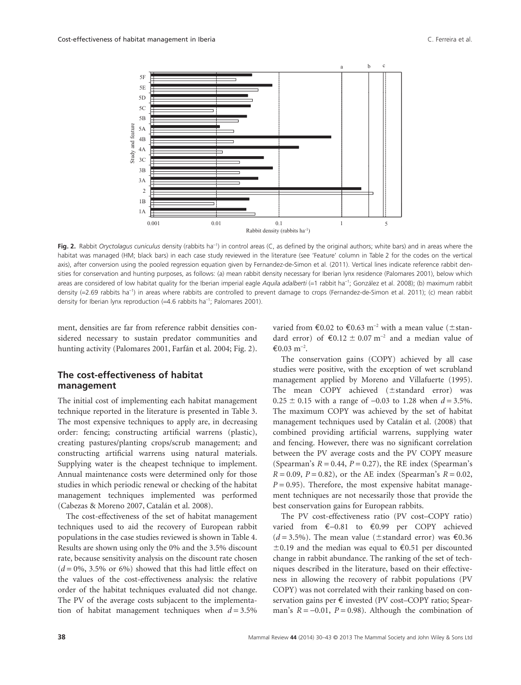

**Fig. 2.** Rabbit *Oryctolagus cuniculus* density (rabbits ha<sup>-1</sup>) in control areas (C, as defined by the original authors; white bars) and in areas where the habitat was managed (HM; black bars) in each case study reviewed in the literature (see 'Feature' column in Table 2 for the codes on the vertical axis), after conversion using the pooled regression equation given by Fernandez-de-Simon et al. (2011). Vertical lines indicate reference rabbit densities for conservation and hunting purposes, as follows: (a) mean rabbit density necessary for Iberian lynx residence (Palomares 2001), below which areas are considered of low habitat quality for the Iberian imperial eagle *Aquila adalberti* (=1 rabbit ha-<sup>1</sup> ; González et al. 2008); (b) maximum rabbit density (=2.69 rabbits ha-<sup>1</sup> ) in areas where rabbits are controlled to prevent damage to crops (Fernandez-de-Simon et al. 2011); (c) mean rabbit density for Iberian lynx reproduction  $(=4.6 \text{ rabbits ha}^{-1})$ ; Palomares 2001).

ment, densities are far from reference rabbit densities considered necessary to sustain predator communities and hunting activity (Palomares 2001, Farfán et al. 2004; Fig. 2).

#### **The cost-effectiveness of habitat management**

The initial cost of implementing each habitat management technique reported in the literature is presented in Table 3. The most expensive techniques to apply are, in decreasing order: fencing; constructing artificial warrens (plastic), creating pastures/planting crops/scrub management; and constructing artificial warrens using natural materials. Supplying water is the cheapest technique to implement. Annual maintenance costs were determined only for those studies in which periodic renewal or checking of the habitat management techniques implemented was performed (Cabezas & Moreno 2007, Catalán et al. 2008).

The cost-effectiveness of the set of habitat management techniques used to aid the recovery of European rabbit populations in the case studies reviewed is shown in Table 4. Results are shown using only the 0% and the 3.5% discount rate, because sensitivity analysis on the discount rate chosen  $(d = 0\%, 3.5\% \text{ or } 6\%)$  showed that this had little effect on the values of the cost-effectiveness analysis: the relative order of the habitat techniques evaluated did not change. The PV of the average costs subjacent to the implementation of habitat management techniques when  $d = 3.5\%$ 

varied from  $\text{\textsterling}0.02$  to  $\text{\textsterling}0.63$  m<sup>-2</sup> with a mean value ( $\pm$ standard error) of  $\text{\textsterling}0.12 \pm 0.07 \text{ m}^{-2}$  and a median value of  $€0.03 \text{ m}^{-2}$ .

The conservation gains (COPY) achieved by all case studies were positive, with the exception of wet scrubland management applied by Moreno and Villafuerte (1995). The mean  $COPY$  achieved ( $\pm$ standard error) was  $0.25 \pm 0.15$  with a range of  $-0.03$  to 1.28 when  $d = 3.5\%$ . The maximum COPY was achieved by the set of habitat management techniques used by Catalán et al. (2008) that combined providing artificial warrens, supplying water and fencing. However, there was no significant correlation between the PV average costs and the PV COPY measure (Spearman's  $R = 0.44$ ,  $P = 0.27$ ), the RE index (Spearman's  $R = 0.09$ ,  $P = 0.82$ ), or the AE index (Spearman's  $R = 0.02$ ,  $P = 0.95$ ). Therefore, the most expensive habitat management techniques are not necessarily those that provide the best conservation gains for European rabbits.

The PV cost-effectiveness ratio (PV cost–COPY ratio) varied from €-0.81 to €0.99 per COPY achieved  $(d = 3.5\%)$ . The mean value ( $\pm$ standard error) was  $\epsilon$ 0.36 ±0.19 and the median was equal to €0.51 per discounted change in rabbit abundance. The ranking of the set of techniques described in the literature, based on their effectiveness in allowing the recovery of rabbit populations (PV COPY) was not correlated with their ranking based on conservation gains per € invested (PV cost–COPY ratio; Spearman's  $R = -0.01$ ,  $P = 0.98$ ). Although the combination of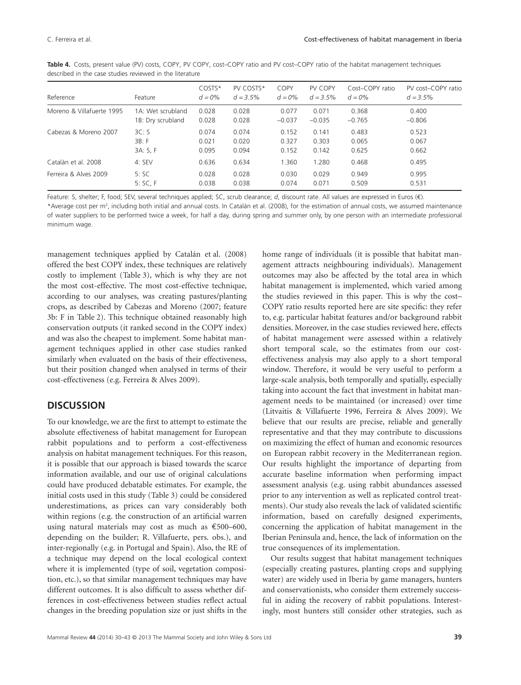| Reference                 | Feature           | COSTS*<br>$d = 0\%$ | PV COSTS*<br>$d = 3.5\%$ | COPY<br>$d = 0\%$ | PV COPY<br>$d = 3.5\%$ | Cost-COPY ratio<br>$d = 0\%$ | PV cost-COPY ratio<br>$d = 3.5\%$ |
|---------------------------|-------------------|---------------------|--------------------------|-------------------|------------------------|------------------------------|-----------------------------------|
|                           |                   |                     |                          |                   |                        |                              |                                   |
| Moreno & Villafuerte 1995 | 1A: Wet scrubland | 0.028               | 0.028                    | 0.077             | 0.071                  | 0.368                        | 0.400                             |
|                           | 1B: Dry scrubland | 0.028               | 0.028                    | $-0.037$          | $-0.035$               | $-0.765$                     | $-0.806$                          |
| Cabezas & Moreno 2007     | 3C: S             | 0.074               | 0.074                    | 0.152             | 0.141                  | 0.483                        | 0.523                             |
|                           | 3B: F             | 0.021               | 0.020                    | 0.327             | 0.303                  | 0.065                        | 0.067                             |
|                           | 3A: S, F          | 0.095               | 0.094                    | 0.152             | 0.142                  | 0.625                        | 0.662                             |
| Catalán et al. 2008       | $4:$ SEV          | 0.636               | 0.634                    | 1.360             | 1.280                  | 0.468                        | 0.495                             |
| Ferreira & Alves 2009     | 5:SC              | 0.028               | 0.028                    | 0.030             | 0.029                  | 0.949                        | 0.995                             |
|                           | 5:SC, F           | 0.038               | 0.038                    | 0.074             | 0.071                  | 0.509                        | 0.531                             |

**Table 4.** Costs, present value (PV) costs, COPY, PV COPY, cost–COPY ratio and PV cost–COPY ratio of the habitat management techniques described in the case studies reviewed in the literature

Feature: S, shelter; F, food; SEV, several techniques applied; SC, scrub clearance; *d*, discount rate. All values are expressed in Euros (€). \*Average cost per m2 , including both initial and annual costs. In Catalán et al. (2008), for the estimation of annual costs, we assumed maintenance of water suppliers to be performed twice a week, for half a day, during spring and summer only, by one person with an intermediate professional minimum wage.

management techniques applied by Catalán et al. (2008) offered the best COPY index, these techniques are relatively costly to implement (Table 3), which is why they are not the most cost-effective. The most cost-effective technique, according to our analyses, was creating pastures/planting crops, as described by Cabezas and Moreno (2007; feature 3b: F in Table 2). This technique obtained reasonably high conservation outputs (it ranked second in the COPY index) and was also the cheapest to implement. Some habitat management techniques applied in other case studies ranked similarly when evaluated on the basis of their effectiveness, but their position changed when analysed in terms of their cost-effectiveness (e.g. Ferreira & Alves 2009).

# **DISCUSSION**

To our knowledge, we are the first to attempt to estimate the absolute effectiveness of habitat management for European rabbit populations and to perform a cost-effectiveness analysis on habitat management techniques. For this reason, it is possible that our approach is biased towards the scarce information available, and our use of original calculations could have produced debatable estimates. For example, the initial costs used in this study (Table 3) could be considered underestimations, as prices can vary considerably both within regions (e.g. the construction of an artificial warren using natural materials may cost as much as €500–600, depending on the builder; R. Villafuerte, pers. obs.), and inter-regionally (e.g. in Portugal and Spain). Also, the RE of a technique may depend on the local ecological context where it is implemented (type of soil, vegetation composition, etc.), so that similar management techniques may have different outcomes. It is also difficult to assess whether differences in cost-effectiveness between studies reflect actual changes in the breeding population size or just shifts in the

home range of individuals (it is possible that habitat management attracts neighbouring individuals). Management outcomes may also be affected by the total area in which habitat management is implemented, which varied among the studies reviewed in this paper. This is why the cost– COPY ratio results reported here are site specific: they refer to, e.g. particular habitat features and/or background rabbit densities. Moreover, in the case studies reviewed here, effects of habitat management were assessed within a relatively short temporal scale, so the estimates from our costeffectiveness analysis may also apply to a short temporal window. Therefore, it would be very useful to perform a large-scale analysis, both temporally and spatially, especially taking into account the fact that investment in habitat management needs to be maintained (or increased) over time (Litvaitis & Villafuerte 1996, Ferreira & Alves 2009). We believe that our results are precise, reliable and generally representative and that they may contribute to discussions on maximizing the effect of human and economic resources on European rabbit recovery in the Mediterranean region. Our results highlight the importance of departing from accurate baseline information when performing impact assessment analysis (e.g. using rabbit abundances assessed prior to any intervention as well as replicated control treatments). Our study also reveals the lack of validated scientific information, based on carefully designed experiments, concerning the application of habitat management in the Iberian Peninsula and, hence, the lack of information on the true consequences of its implementation.

Our results suggest that habitat management techniques (especially creating pastures, planting crops and supplying water) are widely used in Iberia by game managers, hunters and conservationists, who consider them extremely successful in aiding the recovery of rabbit populations. Interestingly, most hunters still consider other strategies, such as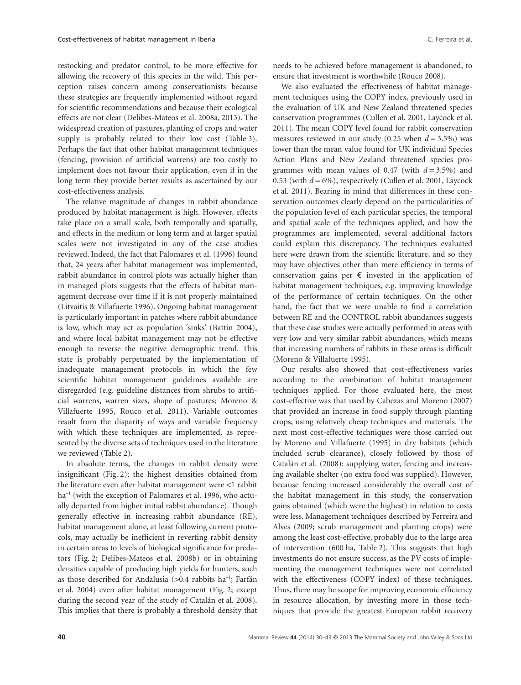restocking and predator control, to be more effective for allowing the recovery of this species in the wild. This perception raises concern among conservationists because these strategies are frequently implemented without regard for scientific recommendations and because their ecological effects are not clear (Delibes-Mateos et al. 2008a, 2013). The widespread creation of pastures, planting of crops and water supply is probably related to their low cost (Table 3). Perhaps the fact that other habitat management techniques (fencing, provision of artificial warrens) are too costly to implement does not favour their application, even if in the long term they provide better results as ascertained by our cost-effectiveness analysis.

The relative magnitude of changes in rabbit abundance produced by habitat management is high. However, effects take place on a small scale, both temporally and spatially, and effects in the medium or long term and at larger spatial scales were not investigated in any of the case studies reviewed. Indeed, the fact that Palomares et al. (1996) found that, 24 years after habitat management was implemented, rabbit abundance in control plots was actually higher than in managed plots suggests that the effects of habitat management decrease over time if it is not properly maintained (Litvaitis & Villafuerte 1996). Ongoing habitat management is particularly important in patches where rabbit abundance is low, which may act as population 'sinks' (Battin 2004), and where local habitat management may not be effective enough to reverse the negative demographic trend. This state is probably perpetuated by the implementation of inadequate management protocols in which the few scientific habitat management guidelines available are disregarded (e.g. guideline distances from shrubs to artificial warrens, warren sizes, shape of pastures; Moreno & Villafuerte 1995, Rouco et al. 2011). Variable outcomes result from the disparity of ways and variable frequency with which these techniques are implemented, as represented by the diverse sets of techniques used in the literature we reviewed (Table 2).

In absolute terms, the changes in rabbit density were insignificant (Fig. 2); the highest densities obtained from the literature even after habitat management were <1 rabbit ha<sup>-1</sup> (with the exception of Palomares et al. 1996, who actually departed from higher initial rabbit abundance). Though generally effective in increasing rabbit abundance (RE), habitat management alone, at least following current protocols, may actually be inefficient in reverting rabbit density in certain areas to levels of biological significance for predators (Fig. 2; Delibes-Mateos et al. 2008b) or in obtaining densities capable of producing high yields for hunters, such as those described for Andalusia (>0.4 rabbits ha<sup>-1</sup>; Farfán et al. 2004) even after habitat management (Fig. 2; except during the second year of the study of Catalán et al. 2008). This implies that there is probably a threshold density that needs to be achieved before management is abandoned, to ensure that investment is worthwhile (Rouco 2008).

We also evaluated the effectiveness of habitat management techniques using the COPY index, previously used in the evaluation of UK and New Zealand threatened species conservation programmes (Cullen et al. 2001, Laycock et al. 2011). The mean COPY level found for rabbit conservation measures reviewed in our study  $(0.25 \text{ when } d = 3.5\%)$  was lower than the mean value found for UK individual Species Action Plans and New Zealand threatened species programmes with mean values of 0.47 (with  $d = 3.5\%$ ) and 0.53 (with  $d = 6\%$ ), respectively (Cullen et al. 2001, Laycock et al. 2011). Bearing in mind that differences in these conservation outcomes clearly depend on the particularities of the population level of each particular species, the temporal and spatial scale of the techniques applied, and how the programmes are implemented, several additional factors could explain this discrepancy. The techniques evaluated here were drawn from the scientific literature, and so they may have objectives other than mere efficiency in terms of conservation gains per  $\epsilon$  invested in the application of habitat management techniques, e.g. improving knowledge of the performance of certain techniques. On the other hand, the fact that we were unable to find a correlation between RE and the CONTROL rabbit abundances suggests that these case studies were actually performed in areas with very low and very similar rabbit abundances, which means that increasing numbers of rabbits in these areas is difficult (Moreno & Villafuerte 1995).

Our results also showed that cost-effectiveness varies according to the combination of habitat management techniques applied. For those evaluated here, the most cost-effective was that used by Cabezas and Moreno (2007) that provided an increase in food supply through planting crops, using relatively cheap techniques and materials. The next most cost-effective techniques were those carried out by Moreno and Villafuerte (1995) in dry habitats (which included scrub clearance), closely followed by those of Catalán et al. (2008): supplying water, fencing and increasing available shelter (no extra food was supplied). However, because fencing increased considerably the overall cost of the habitat management in this study, the conservation gains obtained (which were the highest) in relation to costs were less. Management techniques described by Ferreira and Alves (2009; scrub management and planting crops) were among the least cost-effective, probably due to the large area of intervention (600 ha, Table 2). This suggests that high investments do not ensure success, as the PV costs of implementing the management techniques were not correlated with the effectiveness (COPY index) of these techniques. Thus, there may be scope for improving economic efficiency in resource allocation, by investing more in those techniques that provide the greatest European rabbit recovery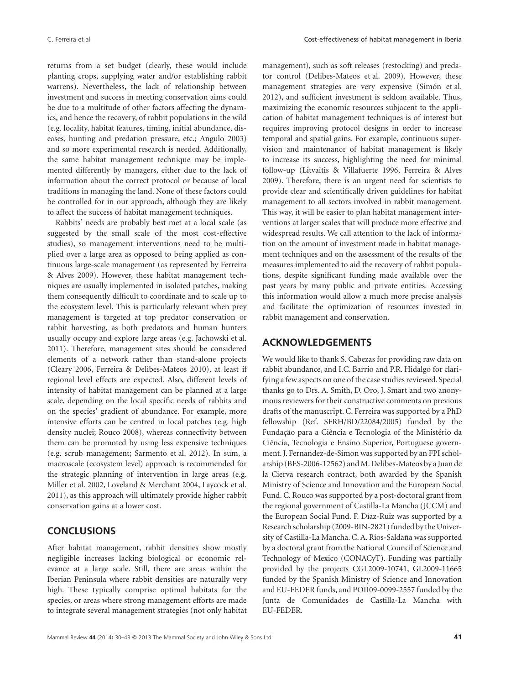returns from a set budget (clearly, these would include planting crops, supplying water and/or establishing rabbit warrens). Nevertheless, the lack of relationship between investment and success in meeting conservation aims could be due to a multitude of other factors affecting the dynamics, and hence the recovery, of rabbit populations in the wild (e.g. locality, habitat features, timing, initial abundance, diseases, hunting and predation pressure, etc.; Angulo 2003) and so more experimental research is needed. Additionally, the same habitat management technique may be implemented differently by managers, either due to the lack of information about the correct protocol or because of local traditions in managing the land. None of these factors could be controlled for in our approach, although they are likely to affect the success of habitat management techniques.

Rabbits' needs are probably best met at a local scale (as suggested by the small scale of the most cost-effective studies), so management interventions need to be multiplied over a large area as opposed to being applied as continuous large-scale management (as represented by Ferreira & Alves 2009). However, these habitat management techniques are usually implemented in isolated patches, making them consequently difficult to coordinate and to scale up to the ecosystem level. This is particularly relevant when prey management is targeted at top predator conservation or rabbit harvesting, as both predators and human hunters usually occupy and explore large areas (e.g. Jachowski et al. 2011). Therefore, management sites should be considered elements of a network rather than stand-alone projects (Cleary 2006, Ferreira & Delibes-Mateos 2010), at least if regional level effects are expected. Also, different levels of intensity of habitat management can be planned at a large scale, depending on the local specific needs of rabbits and on the species' gradient of abundance. For example, more intensive efforts can be centred in local patches (e.g. high density nuclei; Rouco 2008), whereas connectivity between them can be promoted by using less expensive techniques (e.g. scrub management; Sarmento et al. 2012). In sum, a macroscale (ecosystem level) approach is recommended for the strategic planning of intervention in large areas (e.g. Miller et al. 2002, Loveland & Merchant 2004, Laycock et al. 2011), as this approach will ultimately provide higher rabbit conservation gains at a lower cost.

# **CONCLUSIONS**

After habitat management, rabbit densities show mostly negligible increases lacking biological or economic relevance at a large scale. Still, there are areas within the Iberian Peninsula where rabbit densities are naturally very high. These typically comprise optimal habitats for the species, or areas where strong management efforts are made to integrate several management strategies (not only habitat

management), such as soft releases (restocking) and predator control (Delibes-Mateos et al. 2009). However, these management strategies are very expensive (Simón et al. 2012), and sufficient investment is seldom available. Thus, maximizing the economic resources subjacent to the application of habitat management techniques is of interest but requires improving protocol designs in order to increase temporal and spatial gains. For example, continuous supervision and maintenance of habitat management is likely to increase its success, highlighting the need for minimal follow-up (Litvaitis & Villafuerte 1996, Ferreira & Alves 2009). Therefore, there is an urgent need for scientists to provide clear and scientifically driven guidelines for habitat management to all sectors involved in rabbit management. This way, it will be easier to plan habitat management interventions at larger scales that will produce more effective and widespread results. We call attention to the lack of information on the amount of investment made in habitat management techniques and on the assessment of the results of the measures implemented to aid the recovery of rabbit populations, despite significant funding made available over the past years by many public and private entities. Accessing this information would allow a much more precise analysis and facilitate the optimization of resources invested in rabbit management and conservation.

# **ACKNOWLEDGEMENTS**

We would like to thank S. Cabezas for providing raw data on rabbit abundance, and I.C. Barrio and P.R. Hidalgo for clarifying a few aspects on one of the case studies reviewed. Special thanks go to Drs. A. Smith, D. Oro, J. Smart and two anonymous reviewers for their constructive comments on previous drafts of the manuscript. C. Ferreira was supported by a PhD fellowship (Ref. SFRH/BD/22084/2005) funded by the Fundação para a Ciência e Tecnologia of the Ministério da Ciência, Tecnologia e Ensino Superior, Portuguese government. J. Fernandez-de-Simon was supported by an FPI scholarship (BES-2006-12562) and M. Delibes-Mateos by a Juan de la Cierva research contract, both awarded by the Spanish Ministry of Science and Innovation and the European Social Fund. C. Rouco was supported by a post-doctoral grant from the regional government of Castilla-La Mancha (JCCM) and the European Social Fund. F. Díaz-Ruiz was supported by a Research scholarship (2009-BIN-2821) funded by the University of Castilla-La Mancha. C. A. Ríos-Saldaña was supported by a doctoral grant from the National Council of Science and Technology of Mexico (CONACyT). Funding was partially provided by the projects CGL2009-10741, GL2009-11665 funded by the Spanish Ministry of Science and Innovation and EU-FEDER funds, and POII09-0099-2557 funded by the Junta de Comunidades de Castilla-La Mancha with EU-FEDER.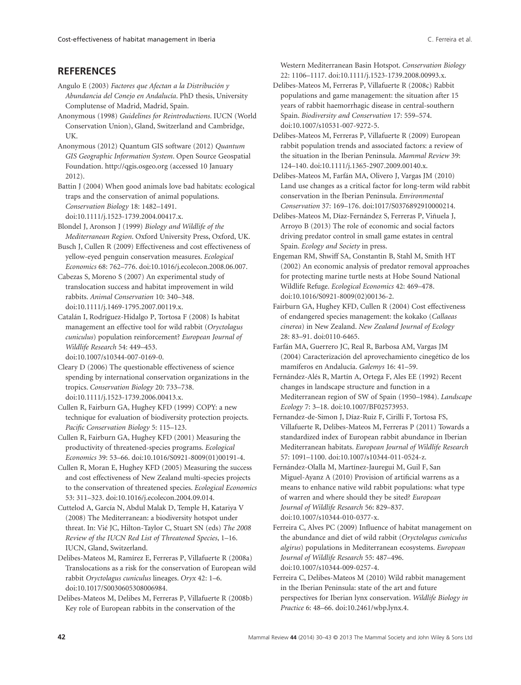# **REFERENCES**

- Angulo E (2003) *Factores que Afectan a la Distribución y Abundancia del Conejo en Andalucía*. PhD thesis, University Complutense of Madrid, Madrid, Spain.
- Anonymous (1998) *Guidelines for Reintroductions*. IUCN (World Conservation Union), Gland, Switzerland and Cambridge, UK.
- Anonymous (2012) Quantum GIS software (2012) *Quantum GIS Geographic Information System*. Open Source Geospatial Foundation.<http://qgis.osgeo.org> (accessed 10 January 2012).

Battin J (2004) When good animals love bad habitats: ecological traps and the conservation of animal populations. *Conservation Biology* 18: 1482–1491. doi:10.1111/j.1523-1739.2004.00417.x.

Blondel J, Aronson J (1999) *Biology and Wildlife of the Mediterranean Region*. Oxford University Press, Oxford, UK.

Busch J, Cullen R (2009) Effectiveness and cost effectiveness of yellow-eyed penguin conservation measures. *Ecological Economics* 68: 762–776. doi:10.1016/j.ecolecon.2008.06.007.

Cabezas S, Moreno S (2007) An experimental study of translocation success and habitat improvement in wild rabbits. *Animal Conservation* 10: 340–348. doi:10.1111/j.1469-1795.2007.00119.x.

Catalán I, Rodríguez-Hidalgo P, Tortosa F (2008) Is habitat management an effective tool for wild rabbit (*Oryctolagus cuniculus*) population reinforcement? *European Journal of Wildlife Research* 54: 449–453. doi:10.1007/s10344-007-0169-0.

Cleary D (2006) The questionable effectiveness of science spending by international conservation organizations in the tropics. *Conservation Biology* 20: 733–738. doi:10.1111/j.1523-1739.2006.00413.x.

Cullen R, Fairburn GA, Hughey KFD (1999) COPY: a new technique for evaluation of biodiversity protection projects. *Pacific Conservation Biology* 5: 115–123.

Cullen R, Fairburn GA, Hughey KFD (2001) Measuring the productivity of threatened-species programs. *Ecological Economics* 39: 53–66. doi:10.1016/S0921-8009(01)00191-4.

Cullen R, Moran E, Hughey KFD (2005) Measuring the success and cost effectiveness of New Zealand multi-species projects to the conservation of threatened species. *Ecological Economics* 53: 311–323. doi:10.1016/j.ecolecon.2004.09.014.

Cuttelod A, García N, Abdul Malak D, Temple H, Katariya V (2008) The Mediterranean: a biodiversity hotspot under threat. In: Vié JC, Hilton-Taylor C, Stuart SN (eds) *The 2008 Review of the IUCN Red List of Threatened Species*, 1–16. IUCN, Gland, Switzerland.

Delibes-Mateos M, Ramírez E, Ferreras P, Villafuerte R (2008a) Translocations as a risk for the conservation of European wild rabbit *Oryctolagus cuniculus* lineages. *Oryx* 42: 1–6. doi:10.1017/S0030605308006984.

Delibes-Mateos M, Delibes M, Ferreras P, Villafuerte R (2008b) Key role of European rabbits in the conservation of the

Western Mediterranean Basin Hotspot. *Conservation Biology* 22: 1106–1117. doi:10.1111/j.1523-1739.2008.00993.x.

Delibes-Mateos M, Ferreras P, Villafuerte R (2008c) Rabbit populations and game management: the situation after 15 years of rabbit haemorrhagic disease in central-southern Spain. *Biodiversity and Conservation* 17: 559–574. doi:10.1007/s10531-007-9272-5.

Delibes-Mateos M, Ferreras P, Villafuerte R (2009) European rabbit population trends and associated factors: a review of the situation in the Iberian Peninsula. *Mammal Review* 39: 124–140. doi:10.1111/j.1365-2907.2009.00140.x.

Delibes-Mateos M, Farfán MA, Olivero J, Vargas JM (2010) Land use changes as a critical factor for long-term wild rabbit conservation in the Iberian Peninsula. *Environmental Conservation* 37: 169–176. doi:1017/S0376892910000214.

Delibes-Mateos M, Díaz-Fernández S, Ferreras P, Viñuela J, Arroyo B (2013) The role of economic and social factors driving predator control in small game estates in central Spain. *Ecology and Society* in press.

Engeman RM, Shwiff SA, Constantin B, Stahl M, Smith HT (2002) An economic analysis of predator removal approaches for protecting marine turtle nests at Hobe Sound National Wildlife Refuge. *Ecological Economics* 42: 469–478. doi:10.1016/S0921-8009(02)00136-2.

Fairburn GA, Hughey KFD, Cullen R (2004) Cost effectiveness of endangered species management: the kokako (*Callaeas cinerea*) in New Zealand. *New Zealand Journal of Ecology* 28: 83–91. doi:0110-6465.

Farfán MA, Guerrero JC, Real R, Barbosa AM, Vargas JM (2004) Caracterización del aprovechamiento cinegético de los mamíferos en Andalucía. *Galemys* 16: 41–59.

Fernández-Alés R, Martín A, Ortega F, Ales EE (1992) Recent changes in landscape structure and function in a Mediterranean region of SW of Spain (1950–1984). *Landscape Ecology* 7: 3–18. doi:10.1007/BF02573953.

Fernandez-de-Simon J, Díaz-Ruiz F, Cirilli F, Tortosa FS, Villafuerte R, Delibes-Mateos M, Ferreras P (2011) Towards a standardized index of European rabbit abundance in Iberian Mediterranean habitats. *European Journal of Wildlife Research* 57: 1091–1100. doi:10.1007/s10344-011-0524-z.

Fernández-Olalla M, Martínez-Jauregui M, Guil F, San Miguel-Ayanz A (2010) Provision of artificial warrens as a means to enhance native wild rabbit populations: what type of warren and where should they be sited? *European Journal of Wildlife Research* 56: 829–837. doi:10.1007/s10344-010-0377-x.

Ferreira C, Alves PC (2009) Influence of habitat management on the abundance and diet of wild rabbit (*Oryctolagus cuniculus algirus*) populations in Mediterranean ecosystems. *European Journal of Wildlife Research* 55: 487–496. doi:10.1007/s10344-009-0257-4.

Ferreira C, Delibes-Mateos M (2010) Wild rabbit management in the Iberian Peninsula: state of the art and future perspectives for Iberian lynx conservation. *Wildlife Biology in Practice* 6: 48–66. doi:10.2461/wbp.lynx.4.